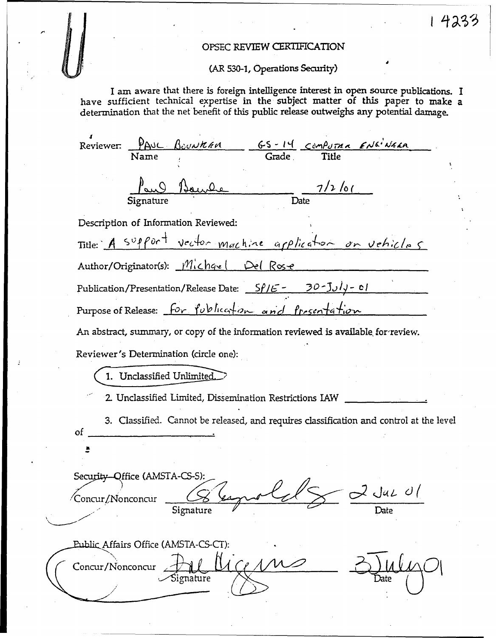# OPSEC REVIEW CERTIFICATION

# (AR 530-1, Operations Security)

I am aware that there is foreign intelligence interest in open source publications. I have sufficient technical expertise in the subject matter of this paper to make a determination that the net benefit of this public rele

| Reviewer: $P_{A\cup C}$ $B_{\cup W}$ $R_{M}$<br><u>GS-14</u> COMPUTRA ENGENEER                |
|-----------------------------------------------------------------------------------------------|
| Name<br>Grade<br><b>Title</b>                                                                 |
| 7/2/0<br>Date<br>Signature                                                                    |
| Description of Information Reviewed:                                                          |
| Title: A support vector machine application on vehicles                                       |
| Author/Originator(s): Michael Del Rose                                                        |
| Publication/Presentation/Release Date: $Sf/E - 30-5JJy - 61$                                  |
| Purpose of Release: For fublication and presentation                                          |
| An abstract, summary, or copy of the information reviewed is available for review.            |
| Reviewer's Determination (circle one):                                                        |
| 1. Unclassified Unlimited.                                                                    |
| 2. Unclassified Limited, Dissemination Restrictions IAW.                                      |
| 3. Classified. Cannot be released, and requires classification and control at the level<br>of |
|                                                                                               |
| Security-Office (AMSTA-CS-S):<br>$Jac$ $O$<br>Concur/Nonconcur<br>Signature<br>Date           |
| Public Affairs Office (AMSTA-CS-CT):                                                          |
| Concur/Nonconcur<br>Signature<br>Date                                                         |
|                                                                                               |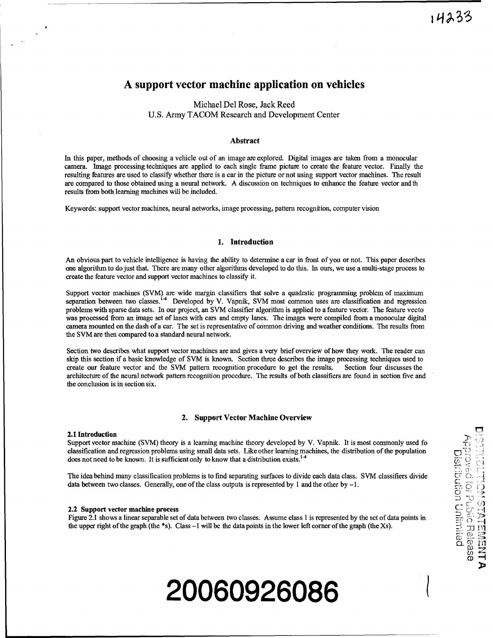# **A** support vector machine application on vehicles

Michael Del Rose, Jack Reed U.S. Army TACOM Research and Development Center

#### Abstract

In this paper, methods of choosing a vehicle out of an image are explored. Digital images are taken from a monocular camera. Image processing techniques are applied to each single frame picture to create the feature vector. Finally the resulting features are used to classify whether there is a car in the picture or not using support vector machines. The result are compared to those obtained using a neural network. A discussion on techniques to enhance the feature vector and th results from both learning machines will be included.

Keywords: support vector machines, neural networks, image processing, pattern recognition, computer vision

### 1. Introduction

An obvious part to vehicle intelligence is having the ability to determine a car in front of you or not, This paper describes one algorithm to do just that. There are many other algorithms developed to do this. In ours, we use a multi-stage process to create the feature vector and support vector machines to classify it.

Support vector machines (SVM) are wide margin classifiers that solve a quadratic programming problem of maximum separation between two classes.<sup>14</sup> Developed by V. Vapnik, SVM most common uses are classification and regression problems with sparse data sets. In our project, an SVM classifier algorithm is applied to a feature vector. The feature vecto was processed from an image set of lanes with cars and empty lanes. The images were compiled from a monocular digital camera mounted on the dash of a car. The set is representative of common driving and weather conditions. The results from the SVM are then compared to a standard neural network.

Section two describes what support vector machines are and gives a very brief overview of how they work. The reader can skip this section if a basic knowledge of SVM is known. Section three describes the image processing techniques used to create our feature vector and the SVM pattern recognition procedure to get the results. Section four discusses the architecture of the neural network pattern recognition procedure. The results of both classifiers are found in section five and the conclusion is in section six.

#### 2. Support Vector Machine Overview

#### 2.1 Introduction

Support vector machine (SVM) theory is a learning machine theory developed by V. Vapnik. It is most commonly used fo classification and regression problems using small data sets. Like other learning machines, the distribution of the population Example to the control of the control of the control of the sum and the sum of the control of the population and regression problems using small data sets. Like other learning machines, the distribution of the population

The idea behind many classification problems is to find separating surfaces to divide each data class. SVM classifiers divide data between two classes. Generally, one of the class outputs is represented by 1 and the other by  $-1$ .

#### 2.2 Support vector machine process

Figure 2.1 shows a linear separable set of data between two classes. Assume class 1 is represented by the set of data points in the upper right of the graph (the  $*$ s). Class  $-1$  will be the data points in the lower left corner of the graph (the Xs).

# **20060926086**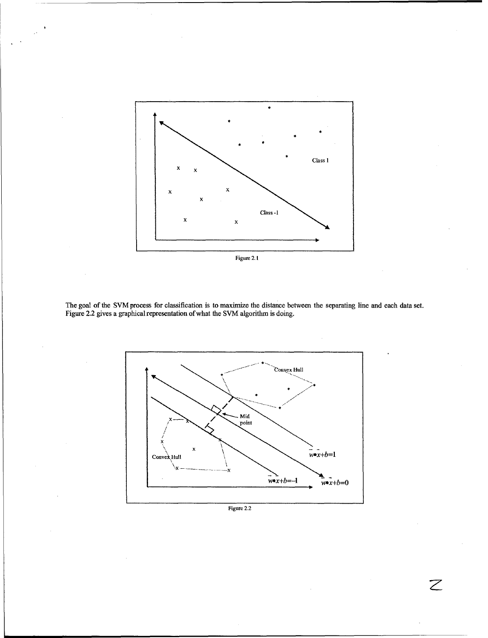

The goal of the SVM process for classification is to maximize the distance between the separating line and each data set.<br>Figure 2.2 gives a graphical representation of what the SVM algorithm is doing.



Figure 2.2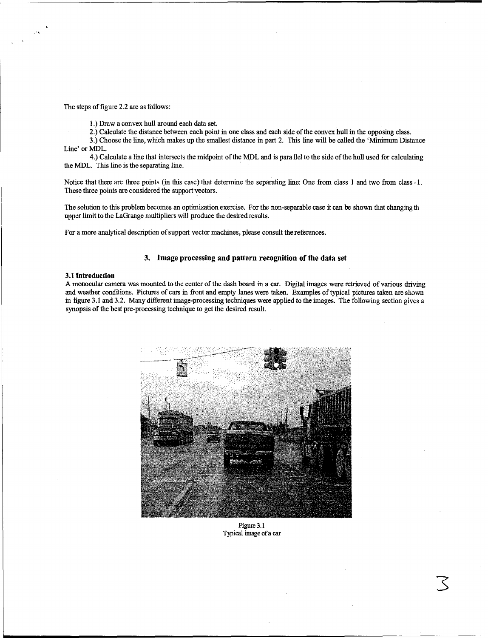The steps of figure 2.2 are as follows:

1.) Draw a convex hull around each data set.

2.) Calculate the distance between each point in one class and each side of the convex hull in the opposing class.

3.) Choose the line, which makes up the smallest distance in part 2. This line will be called the 'Minimum Distance Line' or MDL.

4.) Calculate a line that intersects the midpoint of the MDL and is parallel to the side of the hull used for calculating the MDL. This line is the separating line.

Notice that there are three points (in this case) that determine the separating line: One from class 1 and two from class **-**1. These three points are considered the support vectors.

The solution to this problem becomes an optimization exercise. For the non-separable case it can be shown that changing th upper limit to the LaGrange multipliers will produce the desired results.

For a more analytical description of support vector machines, please consult the references.

#### 3. Image processing and pattern recognition of the data set

#### 3.1 Introduction

A monocular camera was mounted to the center of the dash board in a car. Digital images were retrieved of various driving and weather conditions. Pictures of cars in front and empty lanes were taken. Examples of typical pictures taken are shown in figure **3.1** and 3.2. Many different image-processing techniques were applied to the images. The following section gives a synopsis of the best pre-processing technique to get the desired result.



Figure 3.1 Typical image of a car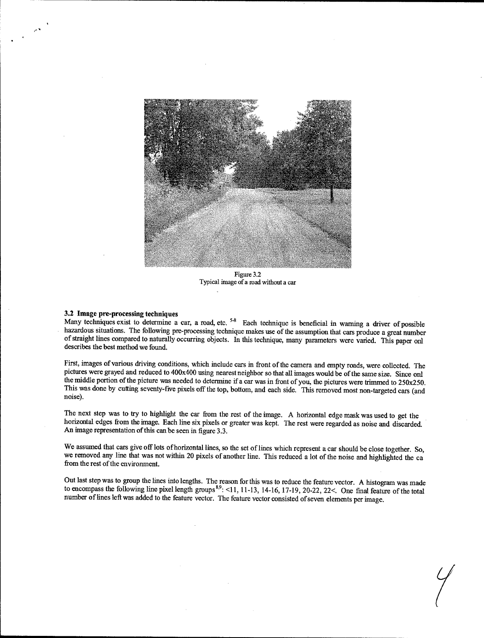

Figure 3.2 Typical image of a mad without a car

3.2 Image pre-processing techniques<br>Many techniques exist to determine a car, a road, etc.  $5-8$  Each technique is beneficial in warning a driver of possible<br>hazardous situations. The following pre-processing technique ma of straight lines compared to naturally occurring objects. In this technique, many parameters were varied. This paper onl describes the best method we found.

First, images of various driving conditions, which include cars in front of the camera and empty roads, were collected. The pictures were grayed and reduced to 400x400 using nearest neighbor so that all images would be of the same size. Since onl the middle portion of the picture was needed to determine if a car was in front of you, the pictures were trimmed to 250x250. This was done by cutting seventy-five pixels off the top, bottom, and each side. This removed most non-targeted cars (and noise).

The next step was to try to highlight the car from the rest of the image. A horizontal edge mask was used to get the horizontal edges from the image. Each line six pixels or greater was kept. The rest were regarded as noise and discarded. An image representation of this canbe seen in figure 3.3.

We assumed that cars give off lots of horizontal lines, so the set of lines which represent a car should be close together. So, we removed any line that was not within 20 pixels of another line. This reduced a lot of the n

Out last step was to group the lines into lengths. The reason for this was to reduce the feature vector. A histogram was made to encompass the following line pixel length groups<sup>8,9</sup>: <11, 11-13, 14-16, 17-19, 20-22, 22<. One final feature of the total number of lines left was added to the feature vector. The feature vector consisted of seven elements per image.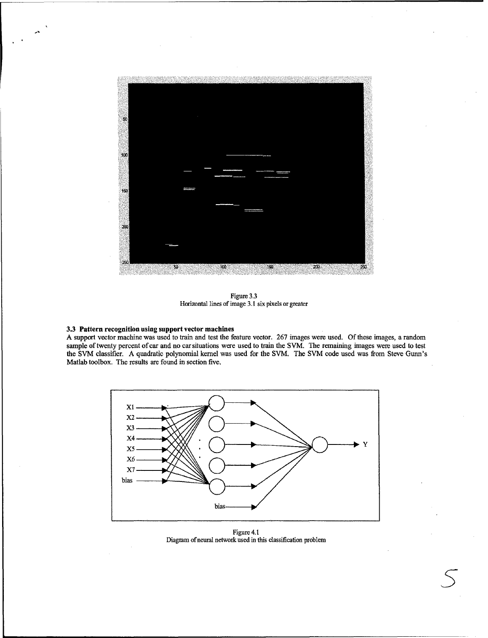

Figure 3.3 Horizontal lines of image 3.1 six pixels or greater

#### 3.3 Pattern recognition using support vector machines

A support vector machine was used to train and test the feature vector. 267 images were used. Of these images, a random sample of twenty percent of car and no car situations were used to train the SVM. The remaining images were used to test the SVM classifier. A quadratic polynomial kernel was used for the SVM. The SVM code used was from Steve Gunn's Matlab toolbox. The results are found in section five.



Figure 4.1 Diagram of neural network used in this classification problem

 $\leq$